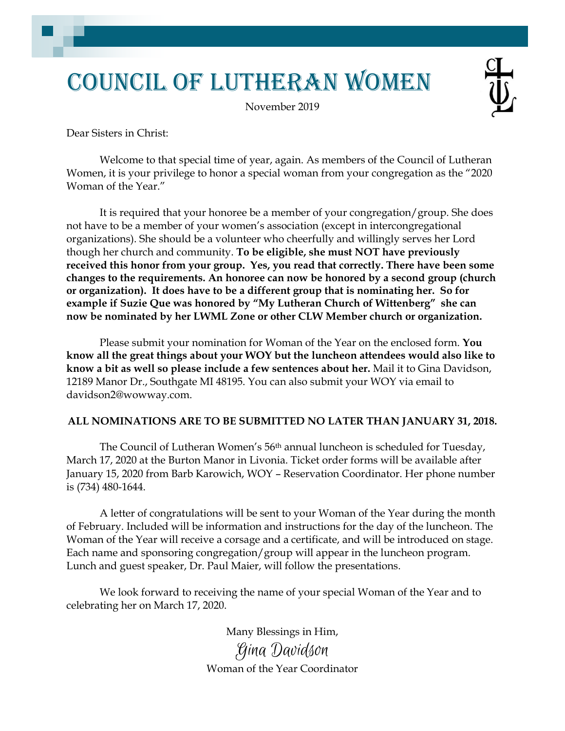## Council of Lutheran Women

November 2019

Dear Sisters in Christ:

Welcome to that special time of year, again. As members of the Council of Lutheran Women, it is your privilege to honor a special woman from your congregation as the "2020 Woman of the Year."

It is required that your honoree be a member of your congregation/group. She does not have to be a member of your women's association (except in intercongregational organizations). She should be a volunteer who cheerfully and willingly serves her Lord though her church and community. **To be eligible, she must NOT have previously received this honor from your group. Yes, you read that correctly. There have been some changes to the requirements. An honoree can now be honored by a second group (church or organization). It does have to be a different group that is nominating her. So for example if Suzie Que was honored by "My Lutheran Church of Wittenberg" she can now be nominated by her LWML Zone or other CLW Member church or organization.**

Please submit your nomination for Woman of the Year on the enclosed form. **You know all the great things about your WOY but the luncheon attendees would also like to know a bit as well so please include a few sentences about her.** Mail it to Gina Davidson, 12189 Manor Dr., Southgate MI 48195. You can also submit your WOY via email to davidson2@wowway.com.

## **ALL NOMINATIONS ARE TO BE SUBMITTED NO LATER THAN JANUARY 31, 2018.**

The Council of Lutheran Women's 56<sup>th</sup> annual luncheon is scheduled for Tuesday, March 17, 2020 at the Burton Manor in Livonia. Ticket order forms will be available after January 15, 2020 from Barb Karowich, WOY – Reservation Coordinator. Her phone number is (734) 480-1644.

A letter of congratulations will be sent to your Woman of the Year during the month of February. Included will be information and instructions for the day of the luncheon. The Woman of the Year will receive a corsage and a certificate, and will be introduced on stage. Each name and sponsoring congregation/group will appear in the luncheon program. Lunch and guest speaker, Dr. Paul Maier, will follow the presentations.

We look forward to receiving the name of your special Woman of the Year and to celebrating her on March 17, 2020.

> Many Blessings in Him, Gina Davidson Woman of the Year Coordinator